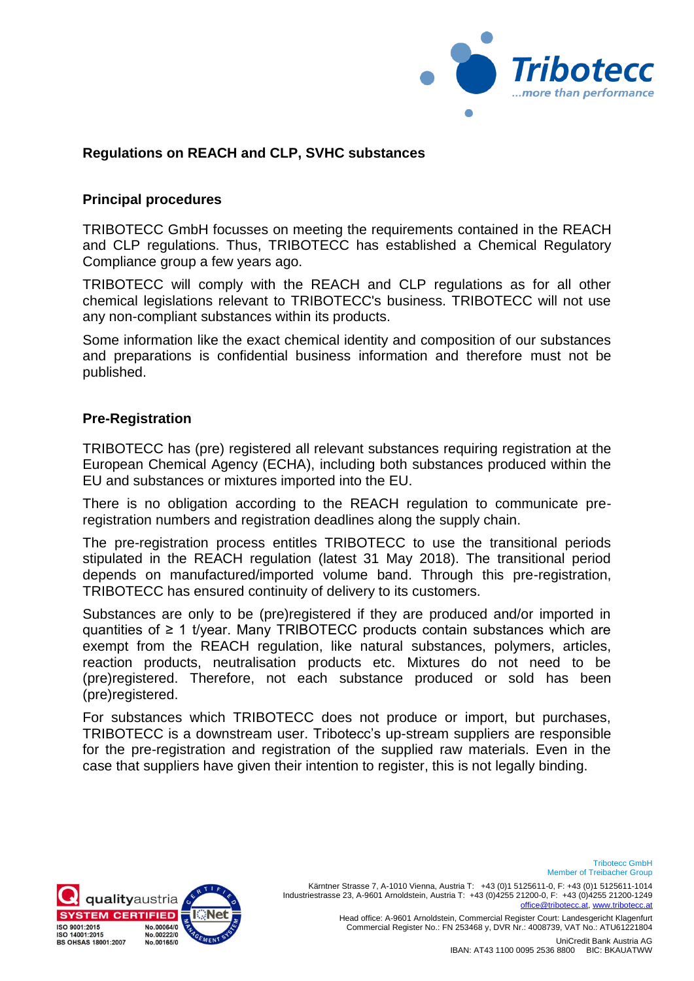

## **Regulations on REACH and CLP, SVHC substances**

#### **Principal procedures**

TRIBOTECC GmbH focusses on meeting the requirements contained in the REACH and CLP regulations. Thus, TRIBOTECC has established a Chemical Regulatory Compliance group a few years ago.

TRIBOTECC will comply with the REACH and CLP regulations as for all other chemical legislations relevant to TRIBOTECC's business. TRIBOTECC will not use any non-compliant substances within its products.

Some information like the exact chemical identity and composition of our substances and preparations is confidential business information and therefore must not be published.

#### **Pre-Registration**

TRIBOTECC has (pre) registered all relevant substances requiring registration at the European Chemical Agency (ECHA), including both substances produced within the EU and substances or mixtures imported into the EU.

There is no obligation according to the REACH regulation to communicate preregistration numbers and registration deadlines along the supply chain.

The pre-registration process entitles TRIBOTECC to use the transitional periods stipulated in the REACH regulation (latest 31 May 2018). The transitional period depends on manufactured/imported volume band. Through this pre-registration, TRIBOTECC has ensured continuity of delivery to its customers.

Substances are only to be (pre)registered if they are produced and/or imported in quantities of ≥ 1 t/year. Many TRIBOTECC products contain substances which are exempt from the REACH regulation, like natural substances, polymers, articles, reaction products, neutralisation products etc. Mixtures do not need to be (pre)registered. Therefore, not each substance produced or sold has been (pre)registered.

For substances which TRIBOTECC does not produce or import, but purchases, TRIBOTECC is a downstream user. Tribotecc's up-stream suppliers are responsible for the pre-registration and registration of the supplied raw materials. Even in the case that suppliers have given their intention to register, this is not legally binding.



Kärntner Strasse 7, A-1010 Vienna, Austria T: +43 (0)1 5125611-0, F: +43 (0)1 5125611-1014 Industriestrasse 23, A-9601 Arnoldstein, Austria T: +43 (0)4255 21200-0, F: +43 (0)4255 21200-1249 at, www.tribotec

> Head office: A-9601 Arnoldstein, Commercial Register Court: Landesgericht Klagenfurt Commercial Register No.: FN 253468 y, DVR Nr.: 4008739, VAT No.: ATU61221804

Tribotecc GmbH

Member of Treibacher Group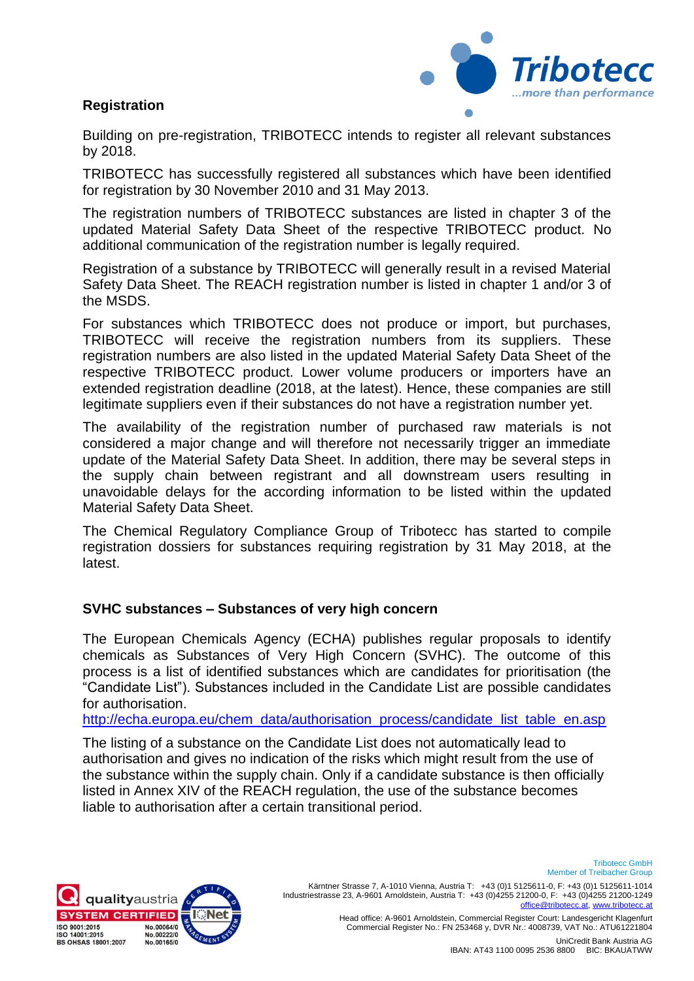

## **Registration**

Building on pre-registration, TRIBOTECC intends to register all relevant substances by 2018.

TRIBOTECC has successfully registered all substances which have been identified for registration by 30 November 2010 and 31 May 2013.

The registration numbers of TRIBOTECC substances are listed in chapter 3 of the updated Material Safety Data Sheet of the respective TRIBOTECC product. No additional communication of the registration number is legally required.

Registration of a substance by TRIBOTECC will generally result in a revised Material Safety Data Sheet. The REACH registration number is listed in chapter 1 and/or 3 of the MSDS.

For substances which TRIBOTECC does not produce or import, but purchases, TRIBOTECC will receive the registration numbers from its suppliers. These registration numbers are also listed in the updated Material Safety Data Sheet of the respective TRIBOTECC product. Lower volume producers or importers have an extended registration deadline (2018, at the latest). Hence, these companies are still legitimate suppliers even if their substances do not have a registration number yet.

The availability of the registration number of purchased raw materials is not considered a major change and will therefore not necessarily trigger an immediate update of the Material Safety Data Sheet. In addition, there may be several steps in the supply chain between registrant and all downstream users resulting in unavoidable delays for the according information to be listed within the updated Material Safety Data Sheet.

The Chemical Regulatory Compliance Group of Tribotecc has started to compile registration dossiers for substances requiring registration by 31 May 2018, at the latest.

### **SVHC substances – Substances of very high concern**

The European Chemicals Agency (ECHA) publishes regular proposals to identify chemicals as Substances of Very High Concern (SVHC). The outcome of this process is a list of identified substances which are candidates for prioritisation (the "Candidate List"). Substances included in the Candidate List are possible candidates for authorisation.

[http://echa.europa.eu/chem\\_data/authorisation\\_process/candidate\\_list\\_table\\_en.asp](http://echa.europa.eu/chem_data/authorisation_process/candidate_list_table_en.asp)

The listing of a substance on the Candidate List does not automatically lead to authorisation and gives no indication of the risks which might result from the use of the substance within the supply chain. Only if a candidate substance is then officially listed in Annex XIV of the REACH regulation, the use of the substance becomes liable to authorisation after a certain transitional period.



Kärntner Strasse 7, A-1010 Vienna, Austria T: +43 (0)1 5125611-0, F: +43 (0)1 5125611-1014 Industriestrasse 23, A-9601 Arnoldstein, Austria T: +43 (0)4255 21200-0, F: +43 (0)4255 21200-1249 at, www.tribotec

> Head office: A-9601 Arnoldstein, Commercial Register Court: Landesgericht Klagenfurt Commercial Register No.: FN 253468 y, DVR Nr.: 4008739, VAT No.: ATU61221804

Tribotecc GmbH

Member of Treibacher Group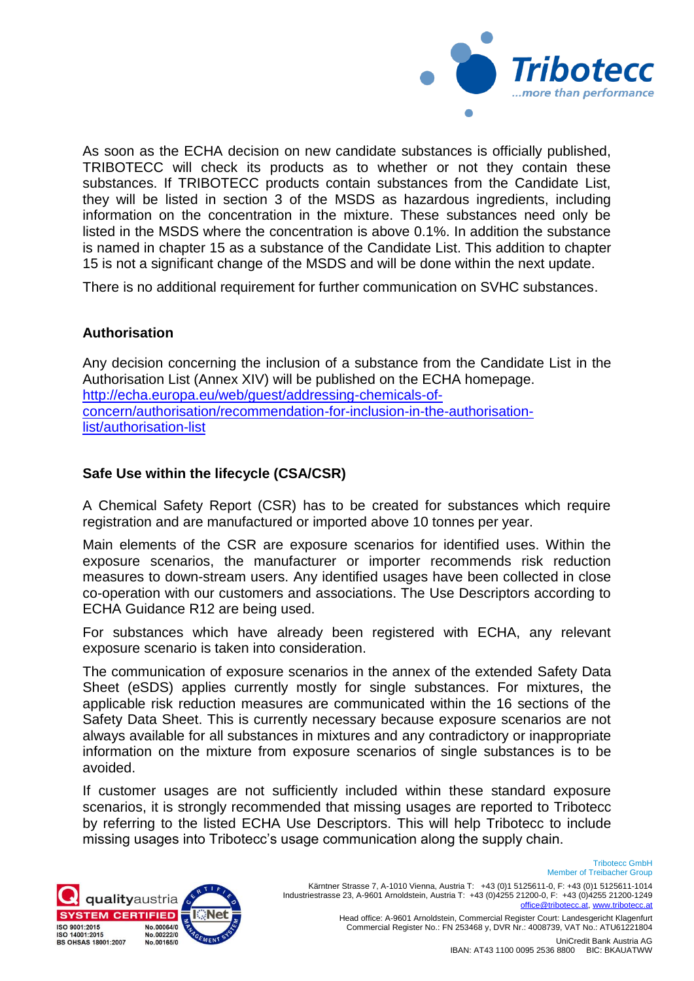

As soon as the ECHA decision on new candidate substances is officially published, TRIBOTECC will check its products as to whether or not they contain these substances. If TRIBOTECC products contain substances from the Candidate List, they will be listed in section 3 of the MSDS as hazardous ingredients, including information on the concentration in the mixture. These substances need only be listed in the MSDS where the concentration is above 0.1%. In addition the substance is named in chapter 15 as a substance of the Candidate List. This addition to chapter 15 is not a significant change of the MSDS and will be done within the next update.

There is no additional requirement for further communication on SVHC substances.

# **Authorisation**

Any decision concerning the inclusion of a substance from the Candidate List in the Authorisation List (Annex XIV) will be published on the ECHA homepage. [http://echa.europa.eu/web/guest/addressing-chemicals-of](http://echa.europa.eu/web/guest/addressing-chemicals-of-concern/authorisation/recommendation-for-inclusion-in-the-authorisation-list/authorisation-list)[concern/authorisation/recommendation-for-inclusion-in-the-authorisation](http://echa.europa.eu/web/guest/addressing-chemicals-of-concern/authorisation/recommendation-for-inclusion-in-the-authorisation-list/authorisation-list)[list/authorisation-list](http://echa.europa.eu/web/guest/addressing-chemicals-of-concern/authorisation/recommendation-for-inclusion-in-the-authorisation-list/authorisation-list)

# **Safe Use within the lifecycle (CSA/CSR)**

A Chemical Safety Report (CSR) has to be created for substances which require registration and are manufactured or imported above 10 tonnes per year.

Main elements of the CSR are exposure scenarios for identified uses. Within the exposure scenarios, the manufacturer or importer recommends risk reduction measures to down-stream users. Any identified usages have been collected in close co-operation with our customers and associations. The Use Descriptors according to ECHA Guidance R12 are being used.

For substances which have already been registered with ECHA, any relevant exposure scenario is taken into consideration.

The communication of exposure scenarios in the annex of the extended Safety Data Sheet (eSDS) applies currently mostly for single substances. For mixtures, the applicable risk reduction measures are communicated within the 16 sections of the Safety Data Sheet. This is currently necessary because exposure scenarios are not always available for all substances in mixtures and any contradictory or inappropriate information on the mixture from exposure scenarios of single substances is to be avoided.

If customer usages are not sufficiently included within these standard exposure scenarios, it is strongly recommended that missing usages are reported to Tribotecc by referring to the listed ECHA Use Descriptors. This will help Tribotecc to include missing usages into Tribotecc's usage communication along the supply chain.



Tribotecc GmbH